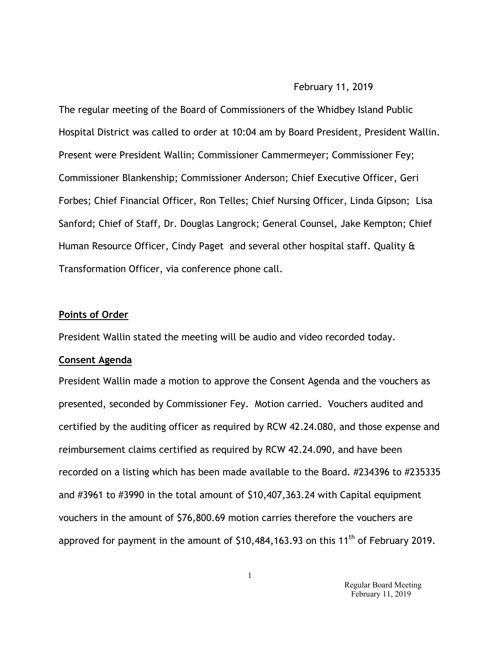### February 11, 2019

The regular meeting of the Board of Commissioners of the Whidbey Island Public Hospital District was called to order at 10:04 am by Board President, President Wallin. Present were President Wallin; Commissioner Cammermeyer; Commissioner Fey; Commissioner Blankenship; Commissioner Anderson; Chief Executive Officer, Geri Forbes; Chief Financial Officer, Ron Telles; Chief Nursing Officer, Linda Gipson; Lisa Sanford; Chief of Staff, Dr. Douglas Langrock; General Counsel, Jake Kempton; Chief Human Resource Officer, Cindy Paget and several other hospital staff. Quality & Transformation Officer, via conference phone call.

#### **Points of Order**

President Wallin stated the meeting will be audio and video recorded today.

#### **Consent Agenda**

President Wallin made a motion to approve the Consent Agenda and the vouchers as presented, seconded by Commissioner Fey. Motion carried. Vouchers audited and certified by the auditing officer as required by RCW 42.24.080, and those expense and reimbursement claims certified as required by RCW 42.24.090, and have been recorded on a listing which has been made available to the Board. #234396 to #235335 and #3961 to #3990 in the total amount of \$10,407,363.24 with Capital equipment vouchers in the amount of \$76,800.69 motion carries therefore the vouchers are approved for payment in the amount of  $$10,484,163.93$  on this  $11<sup>th</sup>$  of February 2019.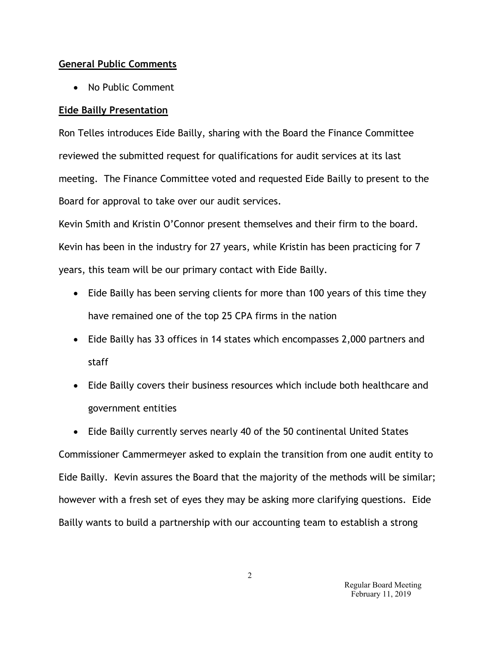## **General Public Comments**

• No Public Comment

# **Eide Bailly Presentation**

Ron Telles introduces Eide Bailly, sharing with the Board the Finance Committee reviewed the submitted request for qualifications for audit services at its last meeting. The Finance Committee voted and requested Eide Bailly to present to the Board for approval to take over our audit services.

Kevin Smith and Kristin O'Connor present themselves and their firm to the board. Kevin has been in the industry for 27 years, while Kristin has been practicing for 7 years, this team will be our primary contact with Eide Bailly.

- Eide Bailly has been serving clients for more than 100 years of this time they have remained one of the top 25 CPA firms in the nation
- Eide Bailly has 33 offices in 14 states which encompasses 2,000 partners and staff
- Eide Bailly covers their business resources which include both healthcare and government entities

• Eide Bailly currently serves nearly 40 of the 50 continental United States Commissioner Cammermeyer asked to explain the transition from one audit entity to Eide Bailly. Kevin assures the Board that the majority of the methods will be similar; however with a fresh set of eyes they may be asking more clarifying questions. Eide Bailly wants to build a partnership with our accounting team to establish a strong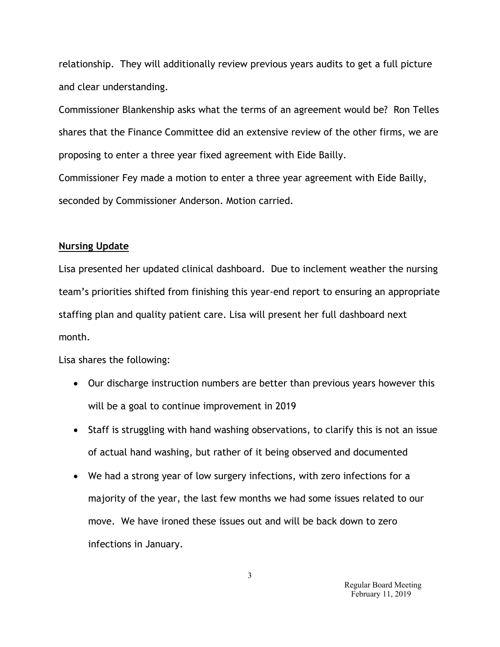relationship. They will additionally review previous years audits to get a full picture and clear understanding.

Commissioner Blankenship asks what the terms of an agreement would be? Ron Telles shares that the Finance Committee did an extensive review of the other firms, we are proposing to enter a three year fixed agreement with Eide Bailly.

Commissioner Fey made a motion to enter a three year agreement with Eide Bailly, seconded by Commissioner Anderson. Motion carried.

## **Nursing Update**

Lisa presented her updated clinical dashboard. Due to inclement weather the nursing team's priorities shifted from finishing this year-end report to ensuring an appropriate staffing plan and quality patient care. Lisa will present her full dashboard next month.

Lisa shares the following:

- Our discharge instruction numbers are better than previous years however this will be a goal to continue improvement in 2019
- Staff is struggling with hand washing observations, to clarify this is not an issue of actual hand washing, but rather of it being observed and documented
- We had a strong year of low surgery infections, with zero infections for a majority of the year, the last few months we had some issues related to our move. We have ironed these issues out and will be back down to zero infections in January.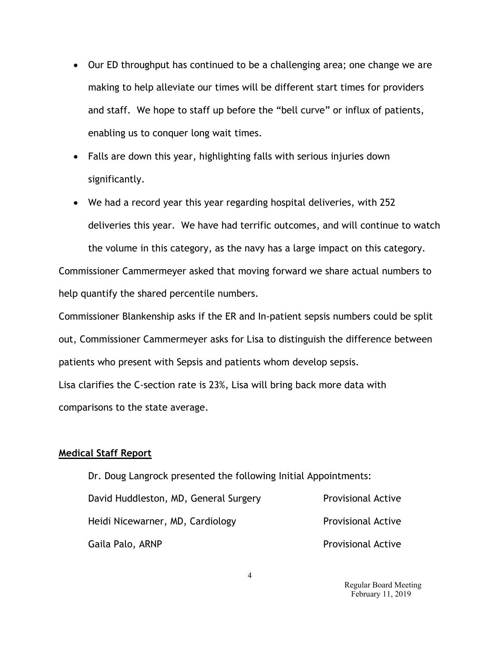- Our ED throughput has continued to be a challenging area; one change we are making to help alleviate our times will be different start times for providers and staff. We hope to staff up before the "bell curve" or influx of patients, enabling us to conquer long wait times.
- Falls are down this year, highlighting falls with serious injuries down significantly.
- We had a record year this year regarding hospital deliveries, with 252 deliveries this year. We have had terrific outcomes, and will continue to watch the volume in this category, as the navy has a large impact on this category.

Commissioner Cammermeyer asked that moving forward we share actual numbers to help quantify the shared percentile numbers.

Commissioner Blankenship asks if the ER and In-patient sepsis numbers could be split out, Commissioner Cammermeyer asks for Lisa to distinguish the difference between patients who present with Sepsis and patients whom develop sepsis.

Lisa clarifies the C-section rate is 23%, Lisa will bring back more data with comparisons to the state average.

## **Medical Staff Report**

Dr. Doug Langrock presented the following Initial Appointments: David Huddleston, MD, General Surgery Provisional Active Heidi Nicewarner, MD, Cardiology **Provisional Active** Gaila Palo, ARNP **Provisional Active** 

> Regular Board Meeting February 11, 2019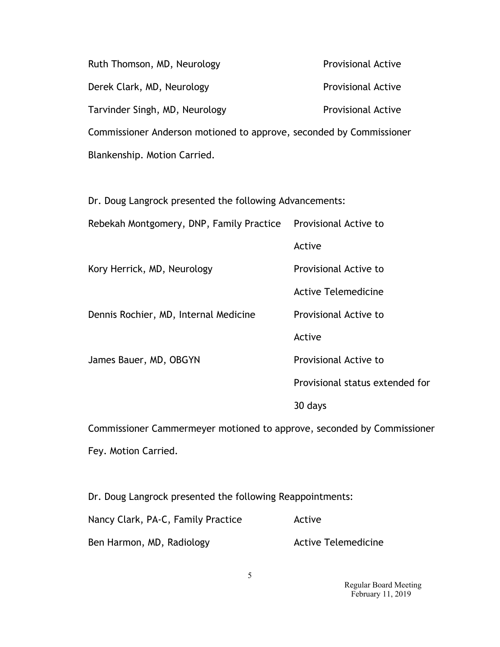Ruth Thomson, MD, Neurology **Provisional Active** Derek Clark, MD, Neurology entitled and the Provisional Active Tarvinder Singh, MD, Neurology **Provisional Active** Commissioner Anderson motioned to approve, seconded by Commissioner Blankenship. Motion Carried.

Dr. Doug Langrock presented the following Advancements:

Rebekah Montgomery, DNP, Family Practice Provisional Active to

Active

Kory Herrick, MD, Neurology entitled a Provisional Active to

Dennis Rochier, MD, Internal Medicine Provisional Active to

Active

James Bauer, MD, OBGYN Provisional Active to

Active Telemedicine

Provisional status extended for

30 days

Commissioner Cammermeyer motioned to approve, seconded by Commissioner Fey. Motion Carried.

Dr. Doug Langrock presented the following Reappointments:

| Nancy Clark, PA-C, Family Practice | Active                     |
|------------------------------------|----------------------------|
| Ben Harmon, MD, Radiology          | <b>Active Telemedicine</b> |

 Regular Board Meeting February 11, 2019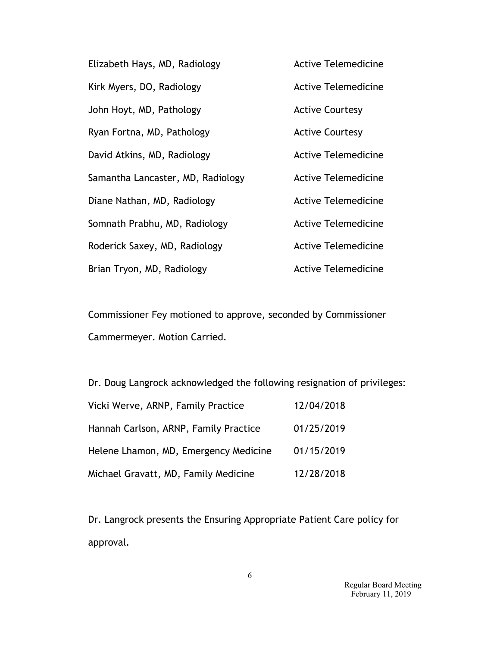| Elizabeth Hays, MD, Radiology     | <b>Active Telemedicine</b> |
|-----------------------------------|----------------------------|
| Kirk Myers, DO, Radiology         | <b>Active Telemedicine</b> |
| John Hoyt, MD, Pathology          | <b>Active Courtesy</b>     |
| Ryan Fortna, MD, Pathology        | <b>Active Courtesy</b>     |
| David Atkins, MD, Radiology       | <b>Active Telemedicine</b> |
| Samantha Lancaster, MD, Radiology | <b>Active Telemedicine</b> |
| Diane Nathan, MD, Radiology       | <b>Active Telemedicine</b> |
| Somnath Prabhu, MD, Radiology     | <b>Active Telemedicine</b> |
| Roderick Saxey, MD, Radiology     | <b>Active Telemedicine</b> |
| Brian Tryon, MD, Radiology        | <b>Active Telemedicine</b> |

Commissioner Fey motioned to approve, seconded by Commissioner Cammermeyer. Motion Carried.

Dr. Doug Langrock acknowledged the following resignation of privileges:

| Vicki Werve, ARNP, Family Practice    | 12/04/2018 |
|---------------------------------------|------------|
| Hannah Carlson, ARNP, Family Practice | 01/25/2019 |
| Helene Lhamon, MD, Emergency Medicine | 01/15/2019 |
| Michael Gravatt, MD, Family Medicine  | 12/28/2018 |

Dr. Langrock presents the Ensuring Appropriate Patient Care policy for approval.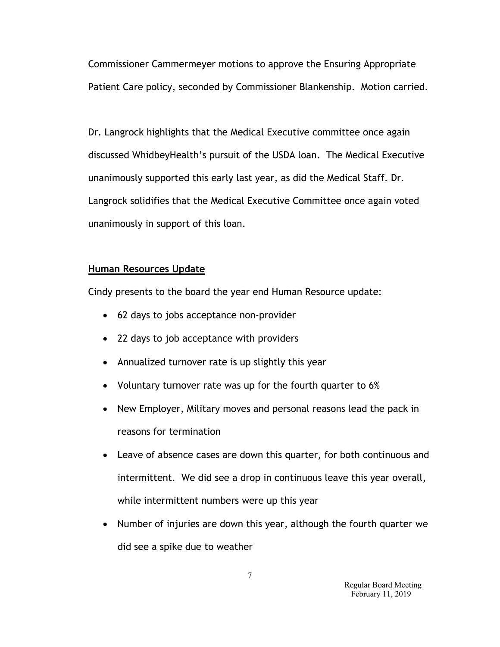Commissioner Cammermeyer motions to approve the Ensuring Appropriate Patient Care policy, seconded by Commissioner Blankenship. Motion carried.

Dr. Langrock highlights that the Medical Executive committee once again discussed WhidbeyHealth's pursuit of the USDA loan. The Medical Executive unanimously supported this early last year, as did the Medical Staff. Dr. Langrock solidifies that the Medical Executive Committee once again voted unanimously in support of this loan.

# **Human Resources Update**

Cindy presents to the board the year end Human Resource update:

- 62 days to jobs acceptance non-provider
- 22 days to job acceptance with providers
- Annualized turnover rate is up slightly this year
- Voluntary turnover rate was up for the fourth quarter to 6%
- New Employer, Military moves and personal reasons lead the pack in reasons for termination
- Leave of absence cases are down this quarter, for both continuous and intermittent. We did see a drop in continuous leave this year overall, while intermittent numbers were up this year
- Number of injuries are down this year, although the fourth quarter we did see a spike due to weather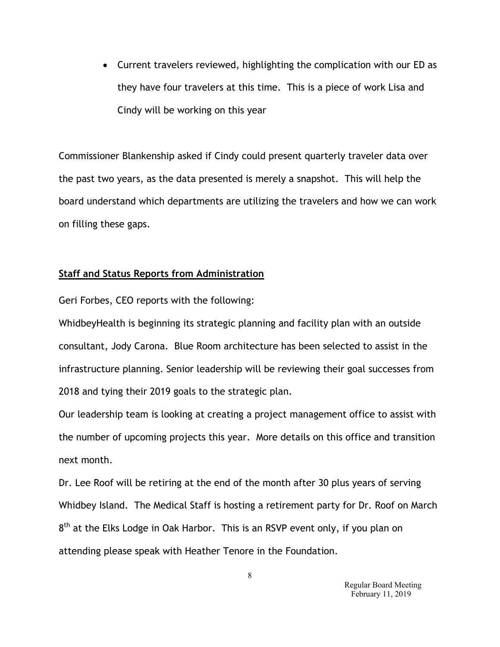• Current travelers reviewed, highlighting the complication with our ED as they have four travelers at this time. This is a piece of work Lisa and Cindy will be working on this year

Commissioner Blankenship asked if Cindy could present quarterly traveler data over the past two years, as the data presented is merely a snapshot. This will help the board understand which departments are utilizing the travelers and how we can work on filling these gaps.

## **Staff and Status Reports from Administration**

Geri Forbes, CEO reports with the following:

WhidbeyHealth is beginning its strategic planning and facility plan with an outside consultant, Jody Carona. Blue Room architecture has been selected to assist in the infrastructure planning. Senior leadership will be reviewing their goal successes from 2018 and tying their 2019 goals to the strategic plan.

Our leadership team is looking at creating a project management office to assist with the number of upcoming projects this year. More details on this office and transition next month.

Dr. Lee Roof will be retiring at the end of the month after 30 plus years of serving Whidbey Island. The Medical Staff is hosting a retirement party for Dr. Roof on March 8<sup>th</sup> at the Elks Lodge in Oak Harbor. This is an RSVP event only, if you plan on attending please speak with Heather Tenore in the Foundation.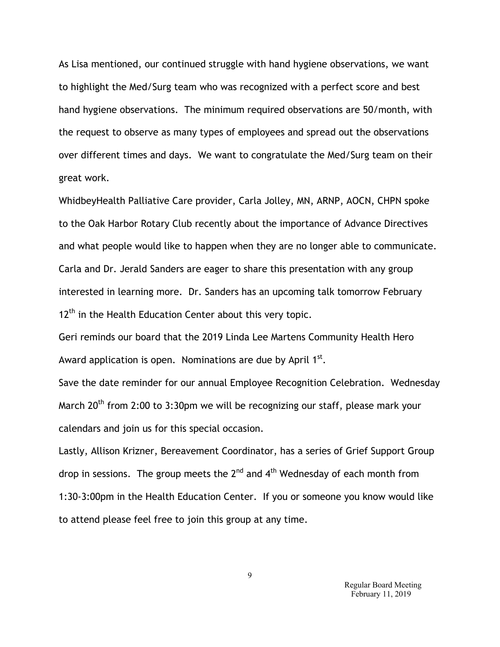As Lisa mentioned, our continued struggle with hand hygiene observations, we want to highlight the Med/Surg team who was recognized with a perfect score and best hand hygiene observations. The minimum required observations are 50/month, with the request to observe as many types of employees and spread out the observations over different times and days. We want to congratulate the Med/Surg team on their great work.

WhidbeyHealth Palliative Care provider, Carla Jolley, MN, ARNP, AOCN, CHPN spoke to the Oak Harbor Rotary Club recently about the importance of Advance Directives and what people would like to happen when they are no longer able to communicate. Carla and Dr. Jerald Sanders are eager to share this presentation with any group interested in learning more. Dr. Sanders has an upcoming talk tomorrow February  $12<sup>th</sup>$  in the Health Education Center about this very topic.

Geri reminds our board that the 2019 Linda Lee Martens Community Health Hero Award application is open. Nominations are due by April  $1<sup>st</sup>$ .

Save the date reminder for our annual Employee Recognition Celebration. Wednesday March  $20<sup>th</sup>$  from 2:00 to 3:30pm we will be recognizing our staff, please mark your calendars and join us for this special occasion.

Lastly, Allison Krizner, Bereavement Coordinator, has a series of Grief Support Group drop in sessions. The group meets the  $2^{nd}$  and  $4^{th}$  Wednesday of each month from 1:30-3:00pm in the Health Education Center. If you or someone you know would like to attend please feel free to join this group at any time.

> Regular Board Meeting February 11, 2019

9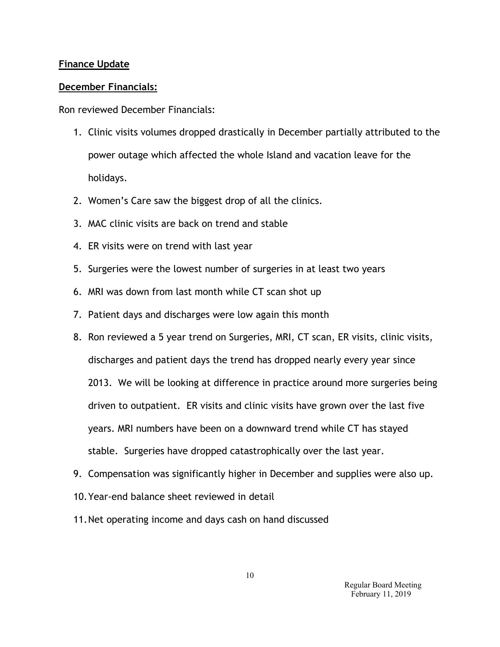## **Finance Update**

## **December Financials:**

Ron reviewed December Financials:

- 1. Clinic visits volumes dropped drastically in December partially attributed to the power outage which affected the whole Island and vacation leave for the holidays.
- 2. Women's Care saw the biggest drop of all the clinics.
- 3. MAC clinic visits are back on trend and stable
- 4. ER visits were on trend with last year
- 5. Surgeries were the lowest number of surgeries in at least two years
- 6. MRI was down from last month while CT scan shot up
- 7. Patient days and discharges were low again this month
- 8. Ron reviewed a 5 year trend on Surgeries, MRI, CT scan, ER visits, clinic visits, discharges and patient days the trend has dropped nearly every year since 2013. We will be looking at difference in practice around more surgeries being driven to outpatient. ER visits and clinic visits have grown over the last five years. MRI numbers have been on a downward trend while CT has stayed stable. Surgeries have dropped catastrophically over the last year.
- 9. Compensation was significantly higher in December and supplies were also up.
- 10.Year-end balance sheet reviewed in detail
- 11.Net operating income and days cash on hand discussed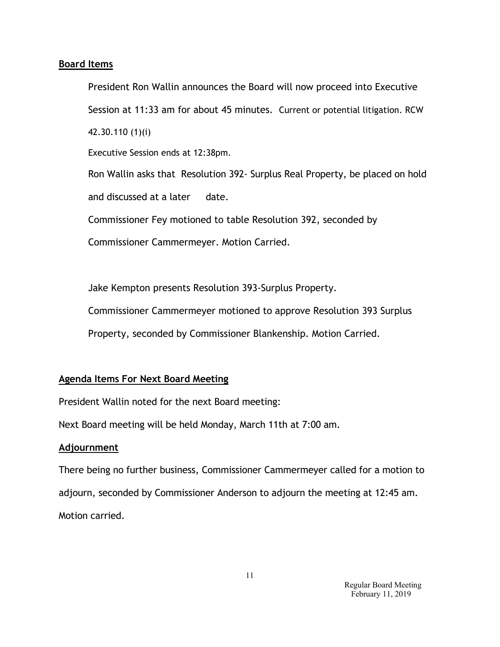## **Board Items**

President Ron Wallin announces the Board will now proceed into Executive Session at 11:33 am for about 45 minutes. Current or potential litigation. RCW 42.30.110 (1)(i)

Executive Session ends at 12:38pm.

Ron Wallin asks that Resolution 392- Surplus Real Property, be placed on hold and discussed at a later date.

Commissioner Fey motioned to table Resolution 392, seconded by

Commissioner Cammermeyer. Motion Carried.

Jake Kempton presents Resolution 393-Surplus Property.

Commissioner Cammermeyer motioned to approve Resolution 393 Surplus

Property, seconded by Commissioner Blankenship. Motion Carried.

## **Agenda Items For Next Board Meeting**

President Wallin noted for the next Board meeting:

Next Board meeting will be held Monday, March 11th at 7:00 am.

## **Adjournment**

There being no further business, Commissioner Cammermeyer called for a motion to adjourn, seconded by Commissioner Anderson to adjourn the meeting at 12:45 am. Motion carried.